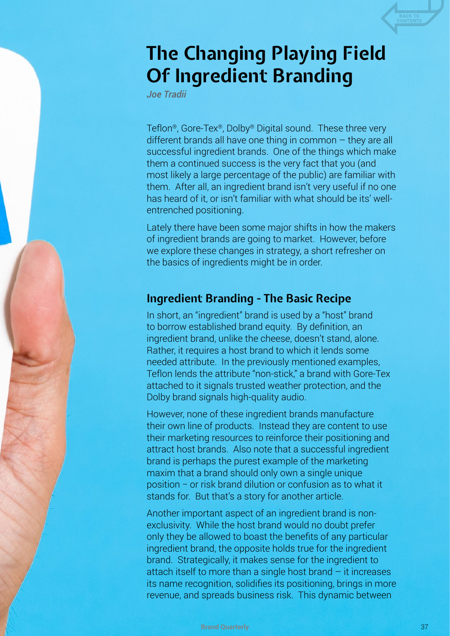# **The Changing Playing Field Of Ingredient Branding**

*Joe Tradii*

Teflon®, Gore-Tex®, Dolby® Digital sound. These three very different brands all have one thing in common – they are all successful ingredient brands. One of the things which make them a continued success is the very fact that you (and most likely a large percentage of the public) are familiar with them. After all, an ingredient brand isn't very useful if no one has heard of it, or isn't familiar with what should be its' wellentrenched positioning.

Lately there have been some major shifts in how the makers of ingredient brands are going to market. However, before we explore these changes in strategy, a short refresher on the basics of ingredients might be in order.

#### **Ingredient Branding - The Basic Recipe**

In short, an "ingredient" brand is used by a "host" brand to borrow established brand equity. By definition, an ingredient brand, unlike the cheese, doesn't stand, alone. Rather, it requires a host brand to which it lends some needed attribute. In the previously mentioned examples, Teflon lends the attribute "non-stick," a brand with Gore-Tex attached to it signals trusted weather protection, and the Dolby brand signals high-quality audio.

However, none of these ingredient brands manufacture their own line of products. Instead they are content to use their marketing resources to reinforce their positioning and attract host brands. Also note that a successful ingredient brand is perhaps the purest example of the marketing maxim that a brand should only own a single unique position − or risk brand dilution or confusion as to what it stands for. But that's a story for another article.

Another important aspect of an ingredient brand is nonexclusivity. While the host brand would no doubt prefer only they be allowed to boast the benefits of any particular ingredient brand, the opposite holds true for the ingredient brand. Strategically, it makes sense for the ingredient to attach itself to more than a single host brand – it increases its name recognition, solidifies its positioning, brings in more revenue, and spreads business risk. This dynamic between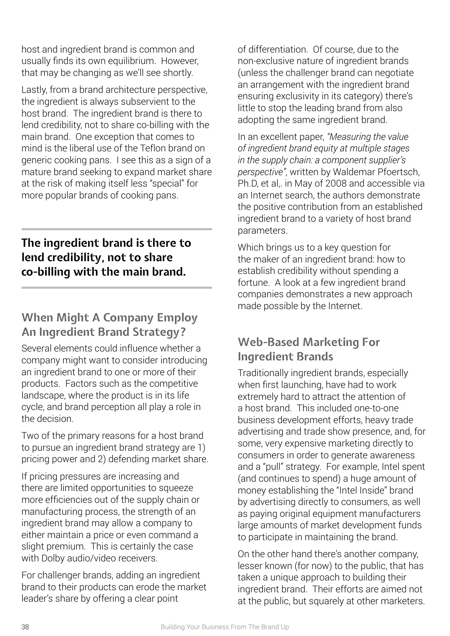host and ingredient brand is common and usually finds its own equilibrium. However, that may be changing as we'll see shortly.

Lastly, from a brand architecture perspective, the ingredient is always subservient to the host brand. The ingredient brand is there to lend credibility, not to share co-billing with the main brand. One exception that comes to mind is the liberal use of the Teflon brand on generic cooking pans. I see this as a sign of a mature brand seeking to expand market share at the risk of making itself less "special" for more popular brands of cooking pans.

### **The ingredient brand is there to lend credibility, not to share co-billing with the main brand.**

## **When Might A Company Employ An Ingredient Brand Strategy?**

Several elements could influence whether a company might want to consider introducing an ingredient brand to one or more of their products. Factors such as the competitive landscape, where the product is in its life cycle, and brand perception all play a role in the decision.

Two of the primary reasons for a host brand to pursue an ingredient brand strategy are 1) pricing power and 2) defending market share.

If pricing pressures are increasing and there are limited opportunities to squeeze more efficiencies out of the supply chain or manufacturing process, the strength of an ingredient brand may allow a company to either maintain a price or even command a slight premium. This is certainly the case with Dolby audio/video receivers.

For challenger brands, adding an ingredient brand to their products can erode the market leader's share by offering a clear point

of differentiation. Of course, due to the non-exclusive nature of ingredient brands (unless the challenger brand can negotiate an arrangement with the ingredient brand ensuring exclusivity in its category) there's little to stop the leading brand from also adopting the same ingredient brand.

In an excellent paper, *"Measuring the value of ingredient brand equity at multiple stages in the supply chain: a component supplier's perspective"*, written by Waldemar Pfoertsch, Ph.D, et al,. in May of 2008 and accessible via an Internet search, the authors demonstrate the positive contribution from an established ingredient brand to a variety of host brand parameters.

Which brings us to a key question for the maker of an ingredient brand: how to establish credibility without spending a fortune. A look at a few ingredient brand companies demonstrates a new approach made possible by the Internet.

### **Web-Based Marketing For Ingredient Brands**

Traditionally ingredient brands, especially when first launching, have had to work extremely hard to attract the attention of a host brand. This included one-to-one business development efforts, heavy trade advertising and trade show presence, and, for some, very expensive marketing directly to consumers in order to generate awareness and a "pull" strategy. For example, Intel spent (and continues to spend) a huge amount of money establishing the "Intel Inside" brand by advertising directly to consumers, as well as paying original equipment manufacturers large amounts of market development funds to participate in maintaining the brand.

On the other hand there's another company, lesser known (for now) to the public, that has taken a unique approach to building their ingredient brand. Their efforts are aimed not at the public, but squarely at other marketers.